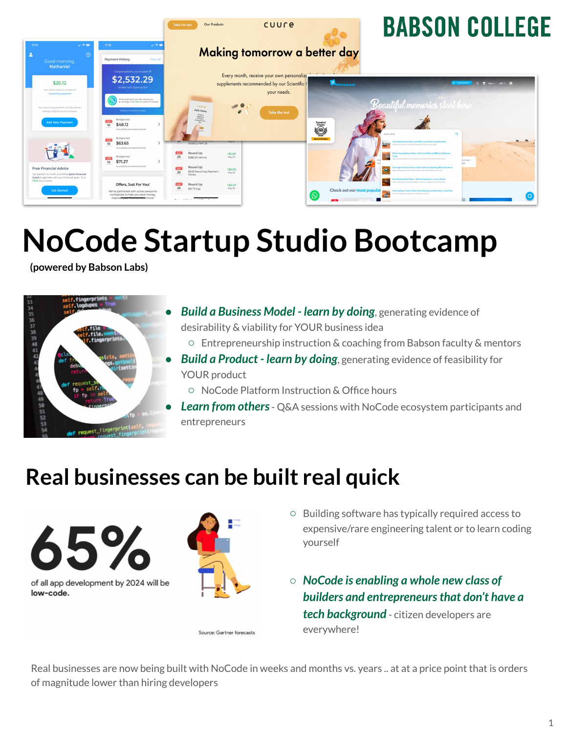

# **NoCode Startup Studio Bootcamp**

**(powered by Babson Labs)**



- **Build a Business Model learn by doing**, generating evidence of desirability & viability for YOUR business idea
	- Entrepreneurship instruction & coaching from Babson faculty & mentors
- **Build a Product learn by doing**, generating evidence of feasibility for YOUR product
	- NoCode Platform Instruction & Office hours
- **Learn from others** Q&A sessions with NoCode ecosystem participants and entrepreneurs

### **Real businesses can be built real quick**



Source: Gartner forecasts

- Building software has typically required access to expensive/rare engineering talent or to learn coding yourself
- *NoCode is enabling a whole new class of builders and entrepreneurs that don't have a tech background* - citizen developers are everywhere!

Real businesses are now being built with NoCode in weeks and months vs. years .. at at a price point that is orders of magnitude lower than hiring developers